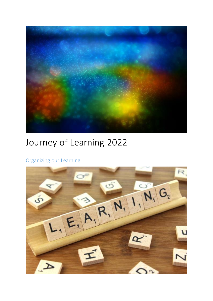

# Journey of Learning 2022

## Organizing our Learning

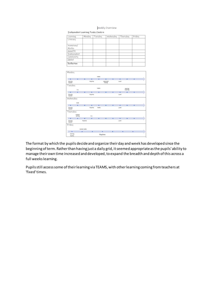|  | weekly Overview |  |  |  |
|--|-----------------|--|--|--|
|--|-----------------|--|--|--|

Independent Learning Tasks Check-in

| Leaning           | <b>Wonday</b> | Tuesday | Wednesday | Thursday | Friday |
|-------------------|---------------|---------|-----------|----------|--------|
| Literacy          |               |         |           |          |        |
| Numeracy/         |               |         |           |          |        |
| <b>Waths</b>      |               |         |           |          |        |
| HEW/PE            |               |         |           |          |        |
| Independent       |               |         |           |          |        |
| Community         |               |         |           |          |        |
| Global            |               |         |           |          |        |
| <b>Reflection</b> |               |         |           |          |        |

| <b>Monday</b>              |                            |                         |          |                     |                                   |   |               |                             |   |  |
|----------------------------|----------------------------|-------------------------|----------|---------------------|-----------------------------------|---|---------------|-----------------------------|---|--|
|                            |                            |                         |          | <b><i>UseDa</i></b> |                                   |   |               |                             |   |  |
| ٠                          | ٠                          | ٠                       | ٠        | ٠                   | ٠                                 | ٠ | ٠             | ٠                           | ٠ |  |
| Moning<br>Invitra          |                            |                         | Paytime  |                     | <b>Littening &amp;</b><br>Talking |   | unch          |                             |   |  |
| Tuesday                    |                            |                         |          |                     |                                   |   |               |                             |   |  |
|                            | P.E.                       |                         |          | <b>Marite</b>       |                                   |   |               | Learning<br><b>Emeching</b> |   |  |
| ٠                          | ٠                          | ٠                       | ٠        | ٠                   | ٠                                 | ٠ | ۰             | ۰                           | ٠ |  |
| <b>Islaming</b><br>Routine |                            |                         | Flaytime |                     |                                   |   | Lunch         |                             |   |  |
| Wednesday                  |                            |                         |          |                     |                                   |   |               |                             |   |  |
|                            | HWE                        |                         |          |                     |                                   |   |               |                             |   |  |
| ٠                          | ٠                          | ٠                       | ٠        | ٠                   | ۰                                 | ٠ | ٠             | ٠                           | ٠ |  |
| Morning<br>Boutine         |                            |                         | Paytime  | Maths               |                                   |   | unch          |                             |   |  |
| Thursday                   |                            |                         |          |                     |                                   |   |               |                             |   |  |
|                            | <b>Picklery</b><br>Solving |                         | RE.      |                     |                                   |   |               |                             |   |  |
| ٠                          | ٠                          | ٠                       | ٠        | ٠                   | ٠                                 | ٠ | ۰             | ۰                           | ۰ |  |
| <b>Maming</b><br>Routine   |                            | Paytime                 |          |                     |                                   |   | <b>Lunder</b> |                             |   |  |
| Friday                     |                            |                         |          |                     |                                   |   |               |                             |   |  |
|                            |                            | <b>Intental IMadria</b> |          |                     |                                   |   |               |                             |   |  |
| ٠                          |                            | ۰                       | ٠        |                     | ٠                                 | ۰ | ٠             |                             | ٠ |  |
| Moming<br>Aputine          |                            | Playtime                |          |                     |                                   |   |               |                             |   |  |

The format by which the pupils decide and organize their day and week has developed since the beginning of term. Rather than having just a daily grid, it seemed appropriate as the pupils' ability to manage their own time increased and developed, to expand the breadth and depth of this across a full weeks learning.

Pupils still access some of their learning via TEAMS, with other learning coming from teachers at 'fixed' times.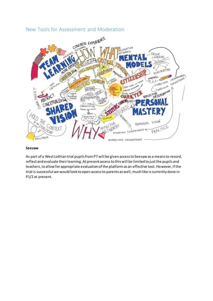### New Tools for Assessment and Moderation



#### **Seesaw**

As part of a West Lothian trial pupils from P7 will be given access to Seesaw as a means to record, reflect and evaluate their learning. At present access to this will be limited to just the pupils and teachers, to allow for appropriate evaluation of the platform as an effective tool. However, if the trial is successful we would look to open access to parents as well, much like is currently done in P1/2 at present.